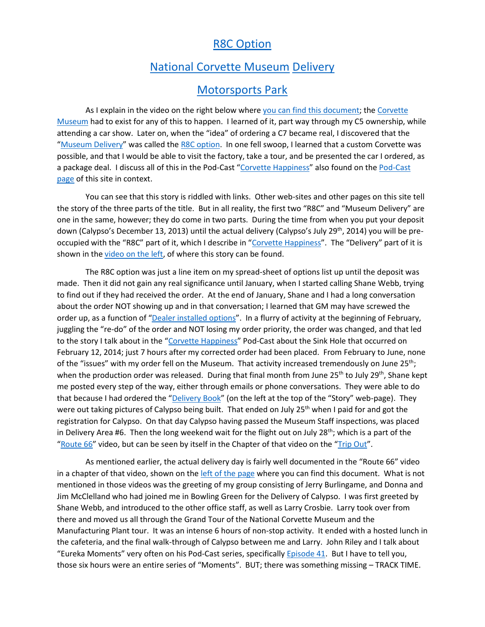## [R8C Option](https://www.corvettemuseum.org/visit/delivery-programs/r8c-museum-delivery/)

## [National Corvette Museum](https://www.corvettemuseum.org/) [Delivery](https://www.corvettemuseum.org/visit/delivery-programs/r8c-museum-delivery/)

## [Motorsports Park](https://www.corvettemuseum.org/visit/motorsports-park/)

As I explain in the video on the right below where you can find [this document;](https://www.calypso-c74pjn.com/books) the Corvette [Museum](https://www.corvettemuseum.org/) had to exist for any of this to happen. I learned of it, part way through my C5 ownership, while attending a car show. Later on, when the "idea" of ordering a C7 became real, I discovered that the "[Museum Delivery](https://www.corvettemuseum.org/visit/delivery-programs/r8c-museum-delivery/)" was called the [R8C option.](https://www.corvettemuseum.org/visit/delivery-programs/r8c-museum-delivery/) In one fell swoop, I learned that a custom Corvette was possible, and that I would be able to visit the factory, take a tour, and be presented the car I ordered, as a package deal. I discuss all of this in the Pod-Cast "[Corvette Happiness](https://youtu.be/hgJ0gFMKIyg)" also found on the Pod-Cast [page](https://www.calypso-c74pjn.com/pod-casts) of this site in context.

You can see that this story is riddled with links. Other web-sites and other pages on this site tell the story of the three parts of the title. But in all reality, the first two "R8C" and "Museum Delivery" are one in the same, however; they do come in two parts. During the time from when you put your deposit down (Calypso's December 13, 2013) until the actual delivery (Calypso's July 29<sup>th</sup>, 2014) you will be pre-occupied with the "R8C" part of it, which I describe in "[Corvette Happiness](https://youtu.be/hgJ0gFMKIyg?t=1500)". The "Delivery" part of it is shown in the [video on the left,](https://www.calypso-c74pjn.com/books) of where this story can be found.

The R8C option was just a line item on my spread-sheet of options list up until the deposit was made. Then it did not gain any real significance until January, when I started calling Shane Webb, trying to find out if they had received the order. At the end of January, Shane and I had a long conversation about the order NOT showing up and in that conversation; I learned that GM may have screwed the order up, as a function of "[Dealer installed options](https://youtu.be/hgJ0gFMKIyg?t=1322)". In a flurry of activity at the beginning of February, juggling the "re-do" of the order and NOT losing my order priority, the order was changed, and that led to the story I talk about in the "[Corvette Happiness](https://youtu.be/hgJ0gFMKIyg?t=1500)" Pod-Cast about the Sink Hole that occurred on February 12, 2014; just 7 hours after my corrected order had been placed. From February to June, none of the "issues" with my order fell on the Museum. That activity increased tremendously on June 25<sup>th</sup>; when the production order was released. During that final month from June 25<sup>th</sup> to July 29<sup>th</sup>, Shane kept me posted every step of the way, either through emails or phone conversations. They were able to do that because I had ordered the "[Delivery Book](https://www.calypso-c74pjn.com/books)" (on the left at the top of the "Story" web-page). They were out taking pictures of Calypso being built. That ended on July 25<sup>th</sup> when I paid for and got the registration for Calypso. On that day Calypso having passed the Museum Staff inspections, was placed in Delivery Area #6. Then the long weekend wait for the flight out on July  $28<sup>th</sup>$ ; which is a part of the "[Route 66](https://www.calypso-c74pjn.com/road-trips)" video, but can be seen by itself in the Chapter of that video on the "[Trip Out](https://youtu.be/oAyvcDb-43g)".

As mentioned earlier, the actual delivery day is fairly well documented in the "Route 66" video in a chapter of that video, shown on the [left of the page](https://www.calypso-c74pjn.com/books) where you can find this document. What is not mentioned in those videos was the greeting of my group consisting of Jerry Burlingame, and Donna and Jim McClelland who had joined me in Bowling Green for the Delivery of Calypso. I was first greeted by Shane Webb, and introduced to the other office staff, as well as Larry Crosbie. Larry took over from there and moved us all through the Grand Tour of the National Corvette Museum and the Manufacturing Plant tour. It was an intense 6 hours of non-stop activity. It ended with a hosted lunch in the cafeteria, and the final walk-through of Calypso between me and Larry. John Riley and I talk about "Eureka Moments" very often on his Pod-Cast series, specifically [Episode 41.](https://youtu.be/jc_riu3XoN4) But I have to tell you, those six hours were an entire series of "Moments". BUT; there was something missing – TRACK TIME.